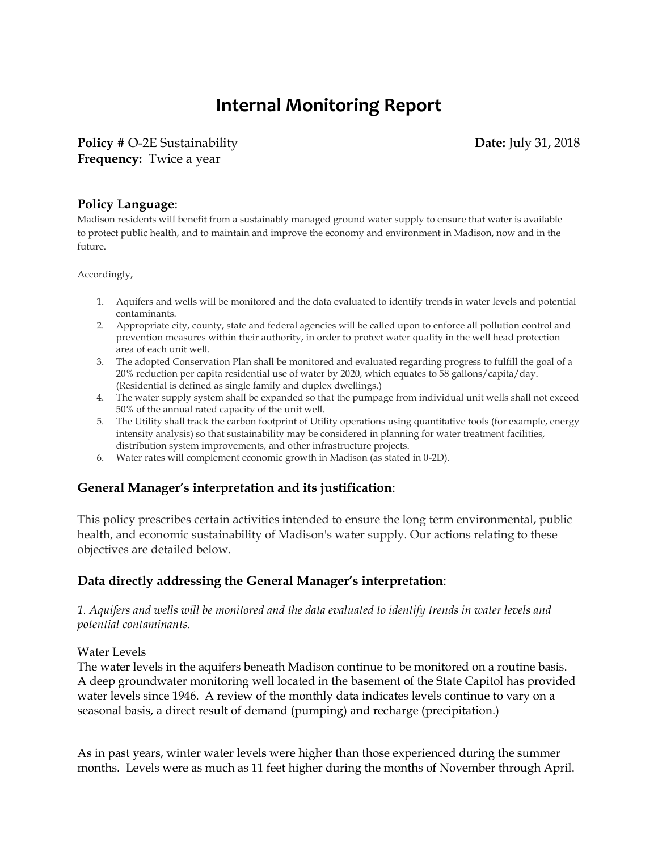# **Internal Monitoring Report**

**Policy # O-2E Sustainability Date: July 31, 2018 Frequency:** Twice a year

#### **Policy Language**:

Madison residents will benefit from a sustainably managed ground water supply to ensure that water is available to protect public health, and to maintain and improve the economy and environment in Madison, now and in the future.

Accordingly,

- 1. Aquifers and wells will be monitored and the data evaluated to identify trends in water levels and potential contaminants.
- 2. Appropriate city, county, state and federal agencies will be called upon to enforce all pollution control and prevention measures within their authority, in order to protect water quality in the well head protection area of each unit well.
- 3. The adopted Conservation Plan shall be monitored and evaluated regarding progress to fulfill the goal of a 20% reduction per capita residential use of water by 2020, which equates to 58 gallons/capita/day. (Residential is defined as single family and duplex dwellings.)
- 4. The water supply system shall be expanded so that the pumpage from individual unit wells shall not exceed 50% of the annual rated capacity of the unit well.
- 5. The Utility shall track the carbon footprint of Utility operations using quantitative tools (for example, energy intensity analysis) so that sustainability may be considered in planning for water treatment facilities, distribution system improvements, and other infrastructure projects.
- 6. Water rates will complement economic growth in Madison (as stated in 0-2D).

## **General Manager's interpretation and its justification**:

This policy prescribes certain activities intended to ensure the long term environmental, public health, and economic sustainability of Madison's water supply. Our actions relating to these objectives are detailed below.

### **Data directly addressing the General Manager's interpretation**:

#### *1. Aquifers and wells will be monitored and the data evaluated to identify trends in water levels and potential contaminants.*

#### Water Levels

The water levels in the aquifers beneath Madison continue to be monitored on a routine basis. A deep groundwater monitoring well located in the basement of the State Capitol has provided water levels since 1946. A review of the monthly data indicates levels continue to vary on a seasonal basis, a direct result of demand (pumping) and recharge (precipitation.)

As in past years, winter water levels were higher than those experienced during the summer months. Levels were as much as 11 feet higher during the months of November through April.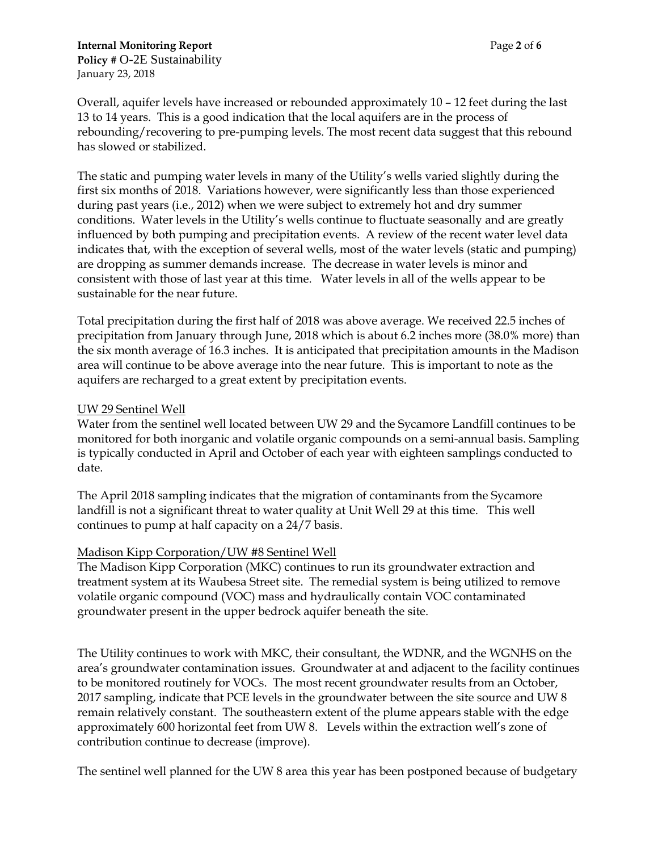Overall, aquifer levels have increased or rebounded approximately 10 – 12 feet during the last 13 to 14 years. This is a good indication that the local aquifers are in the process of rebounding/recovering to pre-pumping levels. The most recent data suggest that this rebound has slowed or stabilized.

The static and pumping water levels in many of the Utility's wells varied slightly during the first six months of 2018. Variations however, were significantly less than those experienced during past years (i.e., 2012) when we were subject to extremely hot and dry summer conditions. Water levels in the Utility's wells continue to fluctuate seasonally and are greatly influenced by both pumping and precipitation events. A review of the recent water level data indicates that, with the exception of several wells, most of the water levels (static and pumping) are dropping as summer demands increase. The decrease in water levels is minor and consistent with those of last year at this time. Water levels in all of the wells appear to be sustainable for the near future.

Total precipitation during the first half of 2018 was above average. We received 22.5 inches of precipitation from January through June, 2018 which is about 6.2 inches more (38.0% more) than the six month average of 16.3 inches. It is anticipated that precipitation amounts in the Madison area will continue to be above average into the near future. This is important to note as the aquifers are recharged to a great extent by precipitation events.

#### UW 29 Sentinel Well

Water from the sentinel well located between UW 29 and the Sycamore Landfill continues to be monitored for both inorganic and volatile organic compounds on a semi-annual basis. Sampling is typically conducted in April and October of each year with eighteen samplings conducted to date.

The April 2018 sampling indicates that the migration of contaminants from the Sycamore landfill is not a significant threat to water quality at Unit Well 29 at this time. This well continues to pump at half capacity on a 24/7 basis.

#### Madison Kipp Corporation/UW #8 Sentinel Well

The Madison Kipp Corporation (MKC) continues to run its groundwater extraction and treatment system at its Waubesa Street site. The remedial system is being utilized to remove volatile organic compound (VOC) mass and hydraulically contain VOC contaminated groundwater present in the upper bedrock aquifer beneath the site.

The Utility continues to work with MKC, their consultant, the WDNR, and the WGNHS on the area's groundwater contamination issues. Groundwater at and adjacent to the facility continues to be monitored routinely for VOCs. The most recent groundwater results from an October, 2017 sampling, indicate that PCE levels in the groundwater between the site source and UW 8 remain relatively constant. The southeastern extent of the plume appears stable with the edge approximately 600 horizontal feet from UW 8. Levels within the extraction well's zone of contribution continue to decrease (improve).

The sentinel well planned for the UW 8 area this year has been postponed because of budgetary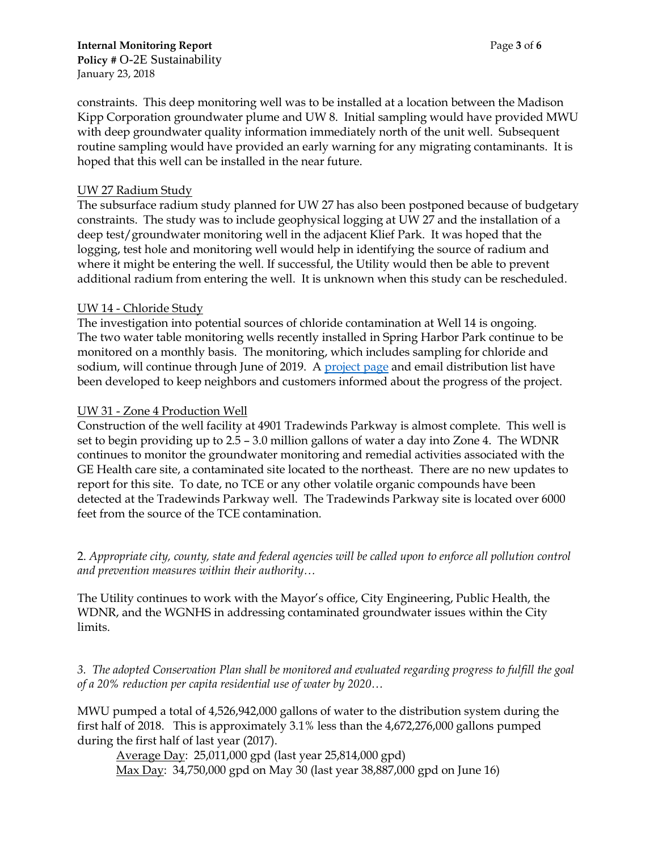constraints. This deep monitoring well was to be installed at a location between the Madison Kipp Corporation groundwater plume and UW 8. Initial sampling would have provided MWU with deep groundwater quality information immediately north of the unit well. Subsequent routine sampling would have provided an early warning for any migrating contaminants. It is hoped that this well can be installed in the near future.

#### UW 27 Radium Study

The subsurface radium study planned for UW 27 has also been postponed because of budgetary constraints. The study was to include geophysical logging at UW 27 and the installation of a deep test/groundwater monitoring well in the adjacent Klief Park. It was hoped that the logging, test hole and monitoring well would help in identifying the source of radium and where it might be entering the well. If successful, the Utility would then be able to prevent additional radium from entering the well. It is unknown when this study can be rescheduled.

#### UW 14 - Chloride Study

The investigation into potential sources of chloride contamination at Well 14 is ongoing. The two water table monitoring wells recently installed in Spring Harbor Park continue to be monitored on a monthly basis. The monitoring, which includes sampling for chloride and sodium, will continue through June of 2019. A [project page](http://www.cityofmadison.com/water/projects/road-salt-study-at-well-14) and email distribution list have been developed to keep neighbors and customers informed about the progress of the project.

#### UW 31 - Zone 4 Production Well

Construction of the well facility at 4901 Tradewinds Parkway is almost complete. This well is set to begin providing up to 2.5 – 3.0 million gallons of water a day into Zone 4. The WDNR continues to monitor the groundwater monitoring and remedial activities associated with the GE Health care site, a contaminated site located to the northeast. There are no new updates to report for this site. To date, no TCE or any other volatile organic compounds have been detected at the Tradewinds Parkway well. The Tradewinds Parkway site is located over 6000 feet from the source of the TCE contamination.

2. *Appropriate city, county, state and federal agencies will be called upon to enforce all pollution control and prevention measures within their authority…* 

The Utility continues to work with the Mayor's office, City Engineering, Public Health, the WDNR, and the WGNHS in addressing contaminated groundwater issues within the City limits.

*3. The adopted Conservation Plan shall be monitored and evaluated regarding progress to fulfill the goal of a 20% reduction per capita residential use of water by 2020…* 

MWU pumped a total of 4,526,942,000 gallons of water to the distribution system during the first half of 2018. This is approximately 3.1% less than the 4,672,276,000 gallons pumped during the first half of last year (2017).

Average Day: 25,011,000 gpd (last year 25,814,000 gpd) Max Day: 34,750,000 gpd on May 30 (last year 38,887,000 gpd on June 16)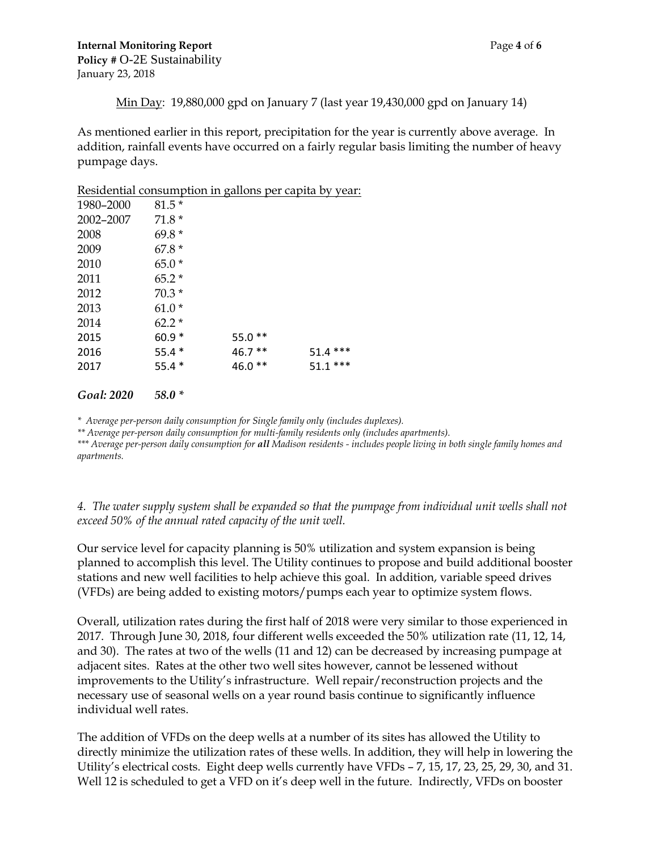Min Day: 19,880,000 gpd on January 7 (last year 19,430,000 gpd on January 14)

As mentioned earlier in this report, precipitation for the year is currently above average. In addition, rainfall events have occurred on a fairly regular basis limiting the number of heavy pumpage days.

Residential consumption in gallons per capita by year:

| 1980-2000 | $81.5*$ |          |           |
|-----------|---------|----------|-----------|
| 2002-2007 | $71.8*$ |          |           |
| 2008      | $69.8*$ |          |           |
| 2009      | $67.8*$ |          |           |
| 2010      | $65.0*$ |          |           |
| 2011      | $65.2*$ |          |           |
| 2012      | $70.3*$ |          |           |
| 2013      | $61.0*$ |          |           |
| 2014      | $62.2*$ |          |           |
| 2015      | $60.9*$ | $55.0**$ |           |
| 2016      | $55.4*$ | $46.7**$ | $51.4***$ |
| 2017      | $55.4*$ | 46.0 **  | $51.1***$ |
|           |         |          |           |

#### *Goal: 2020 58.0 \**

*\* Average per-person daily consumption for Single family only (includes duplexes).*

*\*\* Average per-person daily consumption for multi-family residents only (includes apartments).*

*\*\*\* Average per-person daily consumption for all Madison residents - includes people living in both single family homes and apartments.* 

*4. The water supply system shall be expanded so that the pumpage from individual unit wells shall not exceed 50% of the annual rated capacity of the unit well.* 

Our service level for capacity planning is 50% utilization and system expansion is being planned to accomplish this level. The Utility continues to propose and build additional booster stations and new well facilities to help achieve this goal. In addition, variable speed drives (VFDs) are being added to existing motors/pumps each year to optimize system flows.

Overall, utilization rates during the first half of 2018 were very similar to those experienced in 2017. Through June 30, 2018, four different wells exceeded the 50% utilization rate (11, 12, 14, and 30). The rates at two of the wells (11 and 12) can be decreased by increasing pumpage at adjacent sites. Rates at the other two well sites however, cannot be lessened without improvements to the Utility's infrastructure. Well repair/reconstruction projects and the necessary use of seasonal wells on a year round basis continue to significantly influence individual well rates.

The addition of VFDs on the deep wells at a number of its sites has allowed the Utility to directly minimize the utilization rates of these wells. In addition, they will help in lowering the Utility's electrical costs. Eight deep wells currently have VFDs – 7, 15, 17, 23, 25, 29, 30, and 31. Well 12 is scheduled to get a VFD on it's deep well in the future. Indirectly, VFDs on booster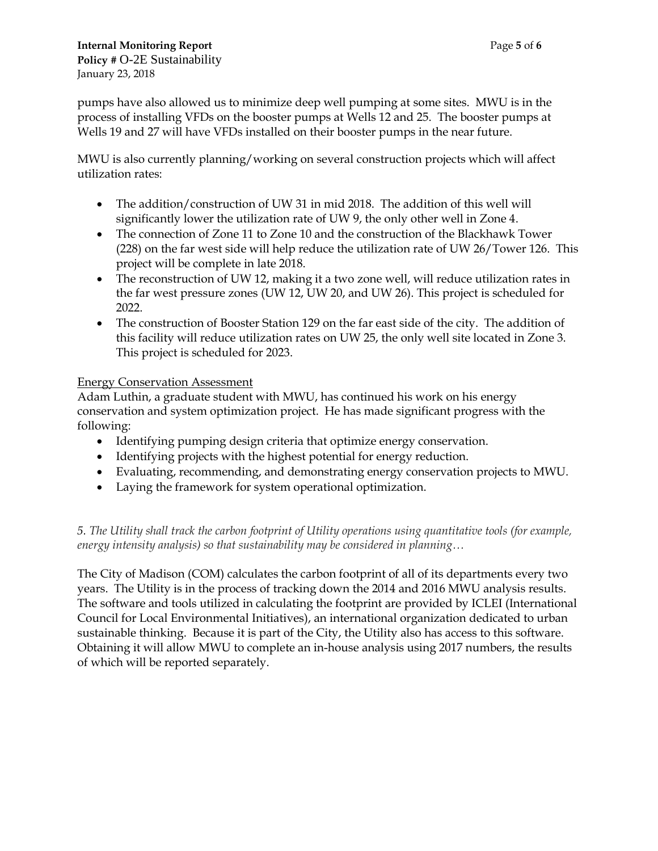pumps have also allowed us to minimize deep well pumping at some sites. MWU is in the process of installing VFDs on the booster pumps at Wells 12 and 25. The booster pumps at Wells 19 and 27 will have VFDs installed on their booster pumps in the near future.

MWU is also currently planning/working on several construction projects which will affect utilization rates:

- The addition/construction of UW 31 in mid 2018. The addition of this well will significantly lower the utilization rate of UW 9, the only other well in Zone 4.
- The connection of Zone 11 to Zone 10 and the construction of the Blackhawk Tower (228) on the far west side will help reduce the utilization rate of UW 26/Tower 126. This project will be complete in late 2018.
- The reconstruction of UW 12, making it a two zone well, will reduce utilization rates in the far west pressure zones (UW 12, UW 20, and UW 26). This project is scheduled for 2022.
- The construction of Booster Station 129 on the far east side of the city. The addition of this facility will reduce utilization rates on UW 25, the only well site located in Zone 3. This project is scheduled for 2023.

#### Energy Conservation Assessment

Adam Luthin, a graduate student with MWU, has continued his work on his energy conservation and system optimization project. He has made significant progress with the following:

- Identifying pumping design criteria that optimize energy conservation.
- Identifying projects with the highest potential for energy reduction.
- Evaluating, recommending, and demonstrating energy conservation projects to MWU.
- Laying the framework for system operational optimization.

*5. The Utility shall track the carbon footprint of Utility operations using quantitative tools (for example, energy intensity analysis) so that sustainability may be considered in planning…* 

The City of Madison (COM) calculates the carbon footprint of all of its departments every two years. The Utility is in the process of tracking down the 2014 and 2016 MWU analysis results. The software and tools utilized in calculating the footprint are provided by ICLEI (International Council for Local Environmental Initiatives), an international organization dedicated to urban sustainable thinking. Because it is part of the City, the Utility also has access to this software. Obtaining it will allow MWU to complete an in-house analysis using 2017 numbers, the results of which will be reported separately.